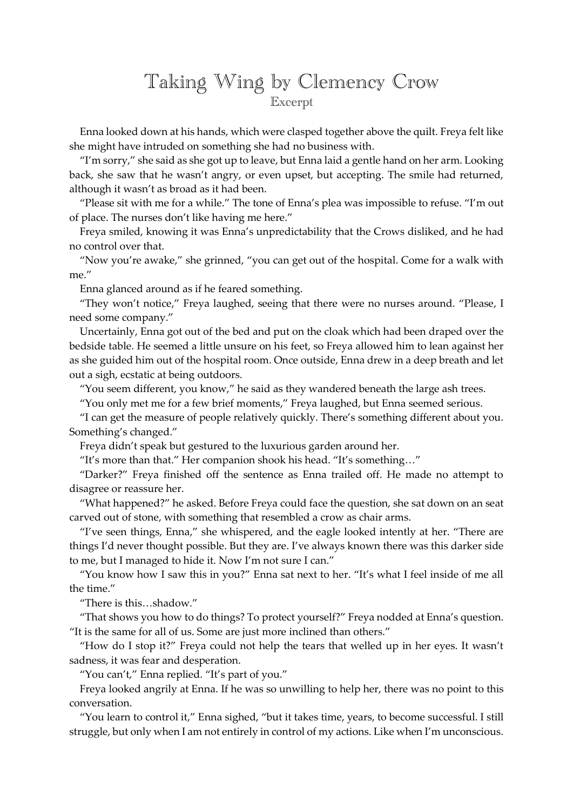## Taking Wing by Clemency Crow Excerpt

Enna looked down at his hands, which were clasped together above the quilt. Freya felt like she might have intruded on something she had no business with.

"I'm sorry," she said as she got up to leave, but Enna laid a gentle hand on her arm. Looking back, she saw that he wasn't angry, or even upset, but accepting. The smile had returned, although it wasn't as broad as it had been.

"Please sit with me for a while." The tone of Enna's plea was impossible to refuse. "I'm out of place. The nurses don't like having me here."

Freya smiled, knowing it was Enna's unpredictability that the Crows disliked, and he had no control over that.

"Now you're awake," she grinned, "you can get out of the hospital. Come for a walk with me."

Enna glanced around as if he feared something.

"They won't notice," Freya laughed, seeing that there were no nurses around. "Please, I need some company."

Uncertainly, Enna got out of the bed and put on the cloak which had been draped over the bedside table. He seemed a little unsure on his feet, so Freya allowed him to lean against her as she guided him out of the hospital room. Once outside, Enna drew in a deep breath and let out a sigh, ecstatic at being outdoors.

"You seem different, you know," he said as they wandered beneath the large ash trees.

"You only met me for a few brief moments," Freya laughed, but Enna seemed serious.

"I can get the measure of people relatively quickly. There's something different about you. Something's changed."

Freya didn't speak but gestured to the luxurious garden around her.

"It's more than that." Her companion shook his head. "It's something…"

"Darker?" Freya finished off the sentence as Enna trailed off. He made no attempt to disagree or reassure her.

"What happened?" he asked. Before Freya could face the question, she sat down on an seat carved out of stone, with something that resembled a crow as chair arms.

"I've seen things, Enna," she whispered, and the eagle looked intently at her. "There are things I'd never thought possible. But they are. I've always known there was this darker side to me, but I managed to hide it. Now I'm not sure I can."

"You know how I saw this in you?" Enna sat next to her. "It's what I feel inside of me all the time."

"There is this…shadow."

"That shows you how to do things? To protect yourself?" Freya nodded at Enna's question. "It is the same for all of us. Some are just more inclined than others."

"How do I stop it?" Freya could not help the tears that welled up in her eyes. It wasn't sadness, it was fear and desperation.

"You can't," Enna replied. "It's part of you."

Freya looked angrily at Enna. If he was so unwilling to help her, there was no point to this conversation.

"You learn to control it," Enna sighed, "but it takes time, years, to become successful. I still struggle, but only when I am not entirely in control of my actions. Like when I'm unconscious.